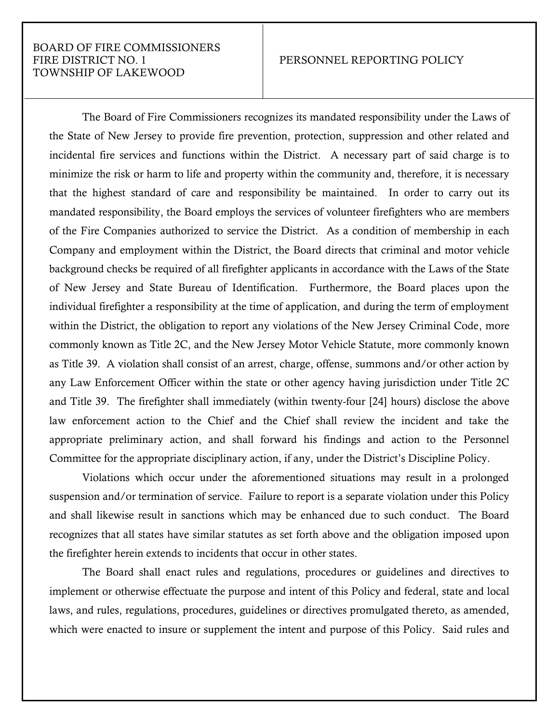## BOARD OF FIRE COMMISSIONERS FIRE DISTRICT NO. 1 PERSONNEL REPORTING POLICY TOWNSHIP OF LAKEWOOD

The Board of Fire Commissioners recognizes its mandated responsibility under the Laws of the State of New Jersey to provide fire prevention, protection, suppression and other related and incidental fire services and functions within the District. A necessary part of said charge is to minimize the risk or harm to life and property within the community and, therefore, it is necessary that the highest standard of care and responsibility be maintained. In order to carry out its mandated responsibility, the Board employs the services of volunteer firefighters who are members of the Fire Companies authorized to service the District. As a condition of membership in each Company and employment within the District, the Board directs that criminal and motor vehicle background checks be required of all firefighter applicants in accordance with the Laws of the State of New Jersey and State Bureau of Identification. Furthermore, the Board places upon the individual firefighter a responsibility at the time of application, and during the term of employment within the District, the obligation to report any violations of the New Jersey Criminal Code, more commonly known as Title 2C, and the New Jersey Motor Vehicle Statute, more commonly known as Title 39. A violation shall consist of an arrest, charge, offense, summons and/or other action by any Law Enforcement Officer within the state or other agency having jurisdiction under Title 2C and Title 39. The firefighter shall immediately (within twenty-four [24] hours) disclose the above law enforcement action to the Chief and the Chief shall review the incident and take the appropriate preliminary action, and shall forward his findings and action to the Personnel Committee for the appropriate disciplinary action, if any, under the District's Discipline Policy.

Violations which occur under the aforementioned situations may result in a prolonged suspension and/or termination of service. Failure to report is a separate violation under this Policy and shall likewise result in sanctions which may be enhanced due to such conduct. The Board recognizes that all states have similar statutes as set forth above and the obligation imposed upon the firefighter herein extends to incidents that occur in other states.

The Board shall enact rules and regulations, procedures or guidelines and directives to implement or otherwise effectuate the purpose and intent of this Policy and federal, state and local laws, and rules, regulations, procedures, guidelines or directives promulgated thereto, as amended, which were enacted to insure or supplement the intent and purpose of this Policy. Said rules and